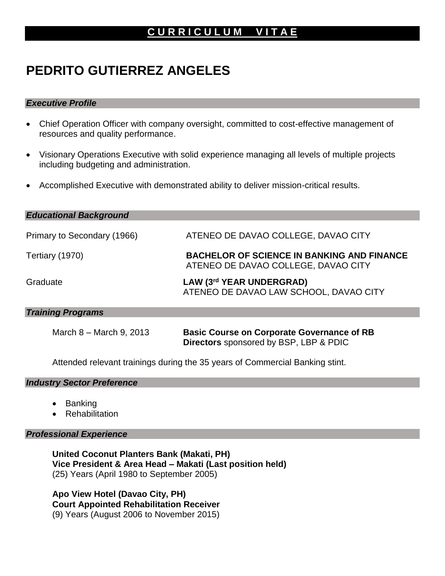## **C U R R I C U L U M V I T A E**

# **PEDRITO GUTIERREZ ANGELES**

#### *Executive Profile*

- Chief Operation Officer with company oversight, committed to cost-effective management of resources and quality performance.
- Visionary Operations Executive with solid experience managing all levels of multiple projects including budgeting and administration.
- Accomplished Executive with demonstrated ability to deliver mission-critical results.

| <b>Educational Background</b> |                                                                                          |
|-------------------------------|------------------------------------------------------------------------------------------|
| Primary to Secondary (1966)   | ATENEO DE DAVAO COLLEGE, DAVAO CITY                                                      |
| Tertiary (1970)               | <b>BACHELOR OF SCIENCE IN BANKING AND FINANCE</b><br>ATENEO DE DAVAO COLLEGE, DAVAO CITY |
| Graduate                      | LAW (3rd YEAR UNDERGRAD)<br>ATENEO DE DAVAO LAW SCHOOL, DAVAO CITY                       |
| <b>Training Programs</b>      |                                                                                          |

March 8 – March 9, 2013 **Basic Course on Corporate Governance of RB Directors** sponsored by BSP, LBP & PDIC

Attended relevant trainings during the 35 years of Commercial Banking stint.

#### *Industry Sector Preference*

- Banking
- **Rehabilitation**

#### *Professional Experience*

**United Coconut Planters Bank (Makati, PH) Vice President & Area Head – Makati (Last position held)** (25) Years (April 1980 to September 2005)

**Apo View Hotel (Davao City, PH) Court Appointed Rehabilitation Receiver** (9) Years (August 2006 to November 2015)